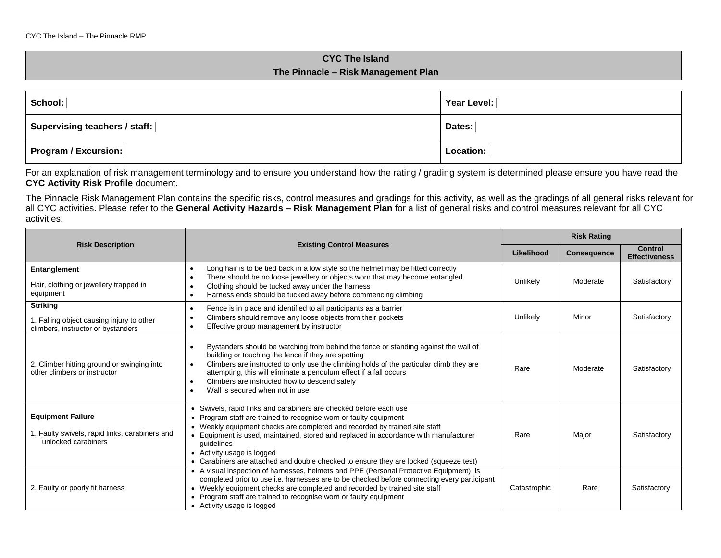## **CYC The Island The Pinnacle – Risk Management Plan**

| $\vert$ School: $\vert$            | Year Level: |  |  |
|------------------------------------|-------------|--|--|
| Supervising teachers / staff:      | Dates:      |  |  |
| $\mid$ Program / Excursion: $\mid$ | Location:   |  |  |

For an explanation of risk management terminology and to ensure you understand how the rating / grading system is determined please ensure you have read the **CYC Activity Risk Profile** document.

The Pinnacle Risk Management Plan contains the specific risks, control measures and gradings for this activity, as well as the gradings of all general risks relevant for all CYC activities. Please refer to the **General Activity Hazards – Risk Management Plan** for a list of general risks and control measures relevant for all CYC activities.

|                                                                                                    |                                                                                                                                                                                                                                                                                                                                                                                                                                                                         |              | <b>Risk Rating</b> |                                        |  |
|----------------------------------------------------------------------------------------------------|-------------------------------------------------------------------------------------------------------------------------------------------------------------------------------------------------------------------------------------------------------------------------------------------------------------------------------------------------------------------------------------------------------------------------------------------------------------------------|--------------|--------------------|----------------------------------------|--|
| <b>Risk Description</b>                                                                            | <b>Existing Control Measures</b>                                                                                                                                                                                                                                                                                                                                                                                                                                        | Likelihood   | <b>Consequence</b> | <b>Control</b><br><b>Effectiveness</b> |  |
| Entanglement<br>Hair, clothing or jewellery trapped in<br>equipment                                | Long hair is to be tied back in a low style so the helmet may be fitted correctly<br>$\bullet$<br>There should be no loose jewellery or objects worn that may become entangled<br>Clothing should be tucked away under the harness<br>Harness ends should be tucked away before commencing climbing                                                                                                                                                                     | Unlikely     | Moderate           | Satisfactory                           |  |
| <b>Striking</b><br>1. Falling object causing injury to other<br>climbers, instructor or bystanders | Fence is in place and identified to all participants as a barrier<br>Climbers should remove any loose objects from their pockets<br>Effective group management by instructor                                                                                                                                                                                                                                                                                            | Unlikely     | Minor              | Satisfactory                           |  |
| 2. Climber hitting ground or swinging into<br>other climbers or instructor                         | Bystanders should be watching from behind the fence or standing against the wall of<br>building or touching the fence if they are spotting<br>Climbers are instructed to only use the climbing holds of the particular climb they are<br>attempting, this will eliminate a pendulum effect if a fall occurs<br>Climbers are instructed how to descend safely<br>Wall is secured when not in use                                                                         | Rare         | Moderate           | Satisfactory                           |  |
| <b>Equipment Failure</b><br>1. Faulty swivels, rapid links, carabiners and<br>unlocked carabiners  | Swivels, rapid links and carabiners are checked before each use<br>$\bullet$<br>Program staff are trained to recognise worn or faulty equipment<br>$\bullet$<br>• Weekly equipment checks are completed and recorded by trained site staff<br>• Equipment is used, maintained, stored and replaced in accordance with manufacturer<br>guidelines<br>• Activity usage is logged<br>• Carabiners are attached and double checked to ensure they are locked (squeeze test) | Rare         | Major              | Satisfactory                           |  |
| 2. Faulty or poorly fit harness                                                                    | • A visual inspection of harnesses, helmets and PPE (Personal Protective Equipment) is<br>completed prior to use i.e. harnesses are to be checked before connecting every participant<br>• Weekly equipment checks are completed and recorded by trained site staff<br>• Program staff are trained to recognise worn or faulty equipment<br>• Activity usage is logged                                                                                                  | Catastrophic | Rare               | Satisfactory                           |  |